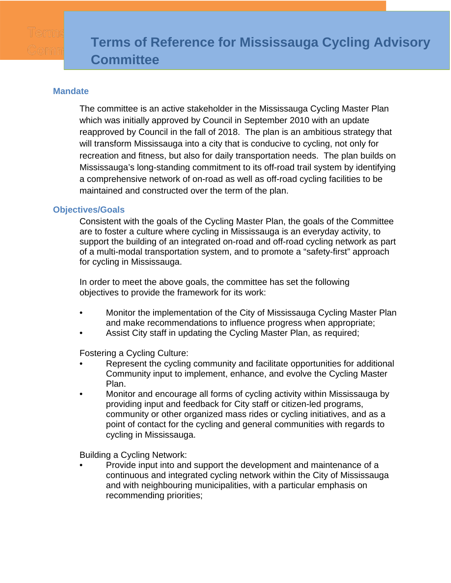## **Mandate**

The committee is an active stakeholder in the Mississauga Cycling Master Plan which was initially approved by Council in September 2010 with an update reapproved by Council in the fall of 2018. The plan is an ambitious strategy that will transform Mississauga into a city that is conducive to cycling, not only for recreation and fitness, but also for daily transportation needs. The plan builds on Mississauga's long-standing commitment to its off-road trail system by identifying a comprehensive network of on-road as well as off-road cycling facilities to be maintained and constructed over the term of the plan.

## **Objectives/Goals**

Consistent with the goals of the Cycling Master Plan, the goals of the Committee are to foster a culture where cycling in Mississauga is an everyday activity, to support the building of an integrated on-road and off-road cycling network as part of a multi-modal transportation system, and to promote a "safety-first" approach for cycling in Mississauga.

In order to meet the above goals, the committee has set the following objectives to provide the framework for its work:

- Monitor the implementation of the City of Mississauga Cycling Master Plan and make recommendations to influence progress when appropriate;
- Assist City staff in updating the Cycling Master Plan, as required;

Fostering a Cycling Culture:

- Represent the cycling community and facilitate opportunities for additional Community input to implement, enhance, and evolve the Cycling Master Plan.
- Monitor and encourage all forms of cycling activity within Mississauga by providing input and feedback for City staff or citizen-led programs, community or other organized mass rides or cycling initiatives, and as a point of contact for the cycling and general communities with regards to cycling in Mississauga.

Building a Cycling Network:

• Provide input into and support the development and maintenance of a continuous and integrated cycling network within the City of Mississauga and with neighbouring municipalities, with a particular emphasis on recommending priorities;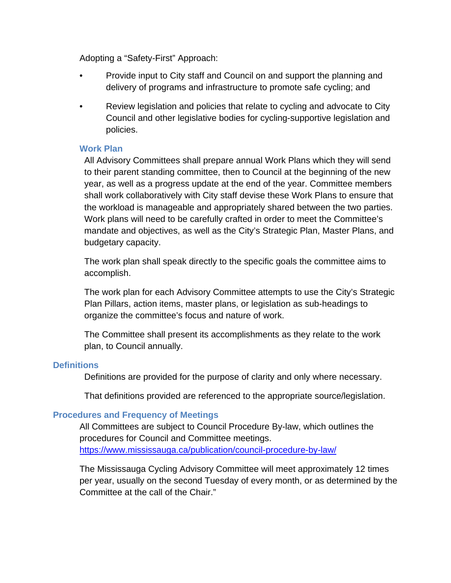Adopting a "Safety-First" Approach:

- Provide input to City staff and Council on and support the planning and delivery of programs and infrastructure to promote safe cycling; and
- Review legislation and policies that relate to cycling and advocate to City Council and other legislative bodies for cycling-supportive legislation and policies.

# **Work Plan**

All Advisory Committees shall prepare annual Work Plans which they will send to their parent standing committee, then to Council at the beginning of the new year, as well as a progress update at the end of the year. Committee members shall work collaboratively with City staff devise these Work Plans to ensure that the workload is manageable and appropriately shared between the two parties. Work plans will need to be carefully crafted in order to meet the Committee's mandate and objectives, as well as the City's Strategic Plan, Master Plans, and budgetary capacity.

The work plan shall speak directly to the specific goals the committee aims to accomplish.

The work plan for each Advisory Committee attempts to use the City's Strategic Plan Pillars, action items, master plans, or legislation as sub-headings to organize the committee's focus and nature of work.

The Committee shall present its accomplishments as they relate to the work plan, to Council annually.

## **Definitions**

Definitions are provided for the purpose of clarity and only where necessary.

That definitions provided are referenced to the appropriate source/legislation.

## **Procedures and Frequency of Meetings**

All Committees are subject to Council Procedure By-law, which outlines the procedures for Council and Committee meetings. <https://www.mississauga.ca/publication/council-procedure-by-law/>

The Mississauga Cycling Advisory Committee will meet approximately 12 times per year, usually on the second Tuesday of every month, or as determined by the Committee at the call of the Chair."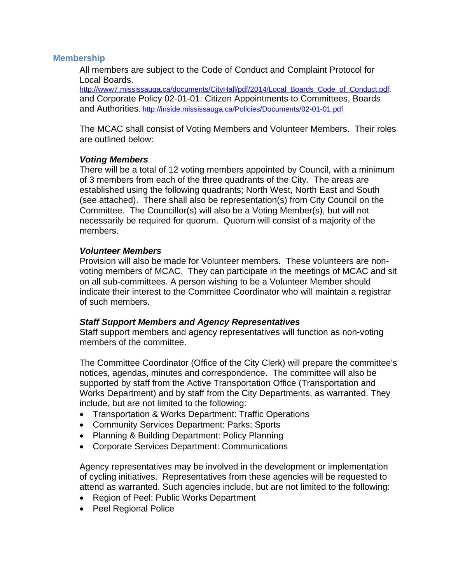### **Membership**

All members are subject to the Code of Conduct and Complaint Protocol for Local Boards.<br>http://www7.mississauga.ca/documents/CityHall/pdf/2014/Local\_Boards\_Code\_of\_Conduct.pdf.

and Corporate Policy 02-01-01: Citizen Appointments to Committees, Boards and Authorities. <http://inside.mississauga.ca/Policies/Documents/02-01-01.pdf>

The MCAC shall consist of Voting Members and Volunteer Members. Their roles are outlined below:

### *Voting Members*

There will be a total of 12 voting members appointed by Council, with a minimum of 3 members from each of the three quadrants of the City. The areas are established using the following quadrants; North West, North East and South (see attached). There shall also be representation(s) from City Council on the Committee. The Councillor(s) will also be a Voting Member(s), but will not necessarily be required for quorum. Quorum will consist of a majority of the members.

### *Volunteer Members*

Provision will also be made for Volunteer members. These volunteers are nonvoting members of MCAC. They can participate in the meetings of MCAC and sit on all sub-committees. A person wishing to be a Volunteer Member should indicate their interest to the Committee Coordinator who will maintain a registrar of such members.

#### *Staff Support Members and Agency Representatives*

Staff support members and agency representatives will function as non-voting members of the committee.

The Committee Coordinator (Office of the City Clerk) will prepare the committee's notices, agendas, minutes and correspondence. The committee will also be supported by staff from the Active Transportation Office (Transportation and Works Department) and by staff from the City Departments, as warranted. They include, but are not limited to the following:

- Transportation & Works Department: Traffic Operations
- Community Services Department: Parks; Sports
- Planning & Building Department: Policy Planning
- Corporate Services Department: Communications

Agency representatives may be involved in the development or implementation of cycling initiatives. Representatives from these agencies will be requested to attend as warranted. Such agencies include, but are not limited to the following:

- Region of Peel: Public Works Department
- Peel Regional Police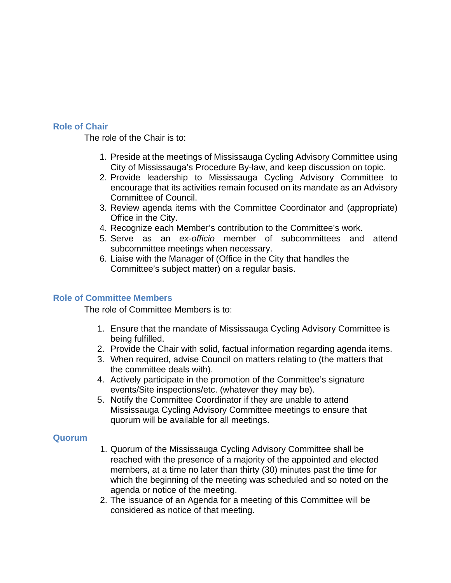## **Role of Chair**

The role of the Chair is to:

- 1. Preside at the meetings of Mississauga Cycling Advisory Committee using City of Mississauga's Procedure By-law, and keep discussion on topic.
- 2. Provide leadership to Mississauga Cycling Advisory Committee to encourage that its activities remain focused on its mandate as an Advisory Committee of Council.
- 3. Review agenda items with the Committee Coordinator and (appropriate) Office in the City.
- 4. Recognize each Member's contribution to the Committee's work.
- 5. Serve as an *ex-officio* member of subcommittees and attend subcommittee meetings when necessary.
- 6. Liaise with the Manager of (Office in the City that handles the Committee's subject matter) on a regular basis.

## **Role of Committee Members**

The role of Committee Members is to:

- 1. Ensure that the mandate of Mississauga Cycling Advisory Committee is being fulfilled.
- 2. Provide the Chair with solid, factual information regarding agenda items.
- 3. When required, advise Council on matters relating to (the matters that the committee deals with).
- 4. Actively participate in the promotion of the Committee's signature events/Site inspections/etc. (whatever they may be).
- 5. Notify the Committee Coordinator if they are unable to attend Mississauga Cycling Advisory Committee meetings to ensure that quorum will be available for all meetings.

## **Quorum**

- 1. Quorum of the Mississauga Cycling Advisory Committee shall be reached with the presence of a majority of the appointed and elected members, at a time no later than thirty (30) minutes past the time for which the beginning of the meeting was scheduled and so noted on the agenda or notice of the meeting.
- 2. The issuance of an Agenda for a meeting of this Committee will be considered as notice of that meeting.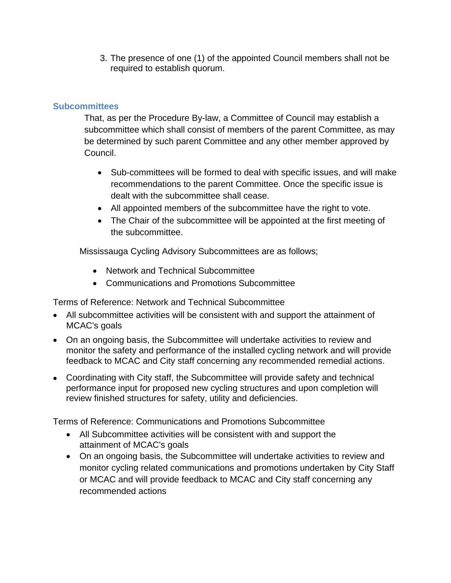3. The presence of one (1) of the appointed Council members shall not be required to establish quorum.

# **Subcommittees**

That, as per the Procedure By-law, a Committee of Council may establish a subcommittee which shall consist of members of the parent Committee, as may be determined by such parent Committee and any other member approved by Council.

- Sub-committees will be formed to deal with specific issues, and will make recommendations to the parent Committee. Once the specific issue is dealt with the subcommittee shall cease.
- All appointed members of the subcommittee have the right to vote.
- The Chair of the subcommittee will be appointed at the first meeting of the subcommittee.

Mississauga Cycling Advisory Subcommittees are as follows;

- Network and Technical Subcommittee
- Communications and Promotions Subcommittee

Terms of Reference: Network and Technical Subcommittee

- All subcommittee activities will be consistent with and support the attainment of MCAC's goals
- On an ongoing basis, the Subcommittee will undertake activities to review and monitor the safety and performance of the installed cycling network and will provide feedback to MCAC and City staff concerning any recommended remedial actions.
- Coordinating with City staff, the Subcommittee will provide safety and technical performance input for proposed new cycling structures and upon completion will review finished structures for safety, utility and deficiencies.

Terms of Reference: Communications and Promotions Subcommittee

- All Subcommittee activities will be consistent with and support the attainment of MCAC's goals
- On an ongoing basis, the Subcommittee will undertake activities to review and monitor cycling related communications and promotions undertaken by City Staff or MCAC and will provide feedback to MCAC and City staff concerning any recommended actions